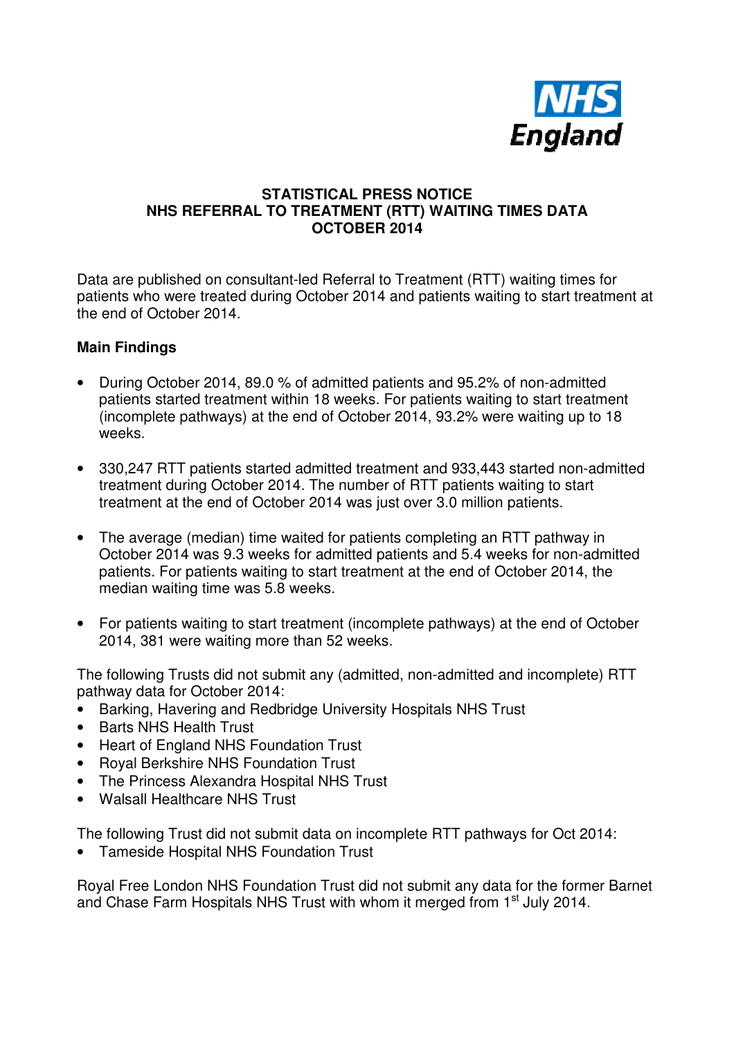

### **STATISTICAL PRESS NOTICE NHS REFERRAL TO TREATMENT (RTT) WAITING TIMES DATA OCTOBER 2014**

Data are published on consultant-led Referral to Treatment (RTT) waiting times for patients who were treated during October 2014 and patients waiting to start treatment at the end of October 2014.

### **Main Findings**

- During October 2014, 89.0 % of admitted patients and 95.2% of non-admitted patients started treatment within 18 weeks. For patients waiting to start treatment (incomplete pathways) at the end of October 2014, 93.2% were waiting up to 18 weeks.
- 330,247 RTT patients started admitted treatment and 933,443 started non-admitted treatment during October 2014. The number of RTT patients waiting to start treatment at the end of October 2014 was just over 3.0 million patients.
- The average (median) time waited for patients completing an RTT pathway in October 2014 was 9.3 weeks for admitted patients and 5.4 weeks for non-admitted patients. For patients waiting to start treatment at the end of October 2014, the median waiting time was 5.8 weeks.
- For patients waiting to start treatment (incomplete pathways) at the end of October 2014, 381 were waiting more than 52 weeks.

The following Trusts did not submit any (admitted, non-admitted and incomplete) RTT pathway data for October 2014:

- Barking, Havering and Redbridge University Hospitals NHS Trust
- Barts NHS Health Trust
- Heart of England NHS Foundation Trust
- Royal Berkshire NHS Foundation Trust
- The Princess Alexandra Hospital NHS Trust
- Walsall Healthcare NHS Trust

The following Trust did not submit data on incomplete RTT pathways for Oct 2014:

• Tameside Hospital NHS Foundation Trust

Royal Free London NHS Foundation Trust did not submit any data for the former Barnet and Chase Farm Hospitals NHS Trust with whom it merged from 1<sup>st</sup> July 2014.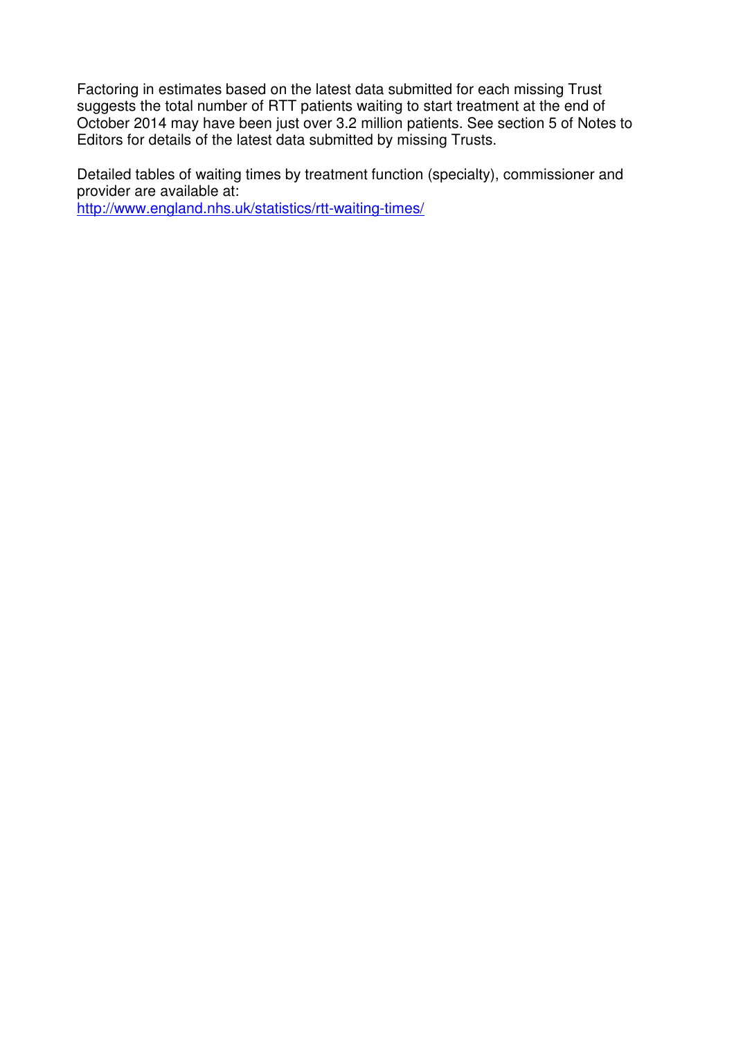Factoring in estimates based on the latest data submitted for each missing Trust suggests the total number of RTT patients waiting to start treatment at the end of October 2014 may have been just over 3.2 million patients. See section 5 of Notes to Editors for details of the latest data submitted by missing Trusts.

Detailed tables of waiting times by treatment function (specialty), commissioner and provider are available at:

http://www.england.nhs.uk/statistics/rtt-waiting-times/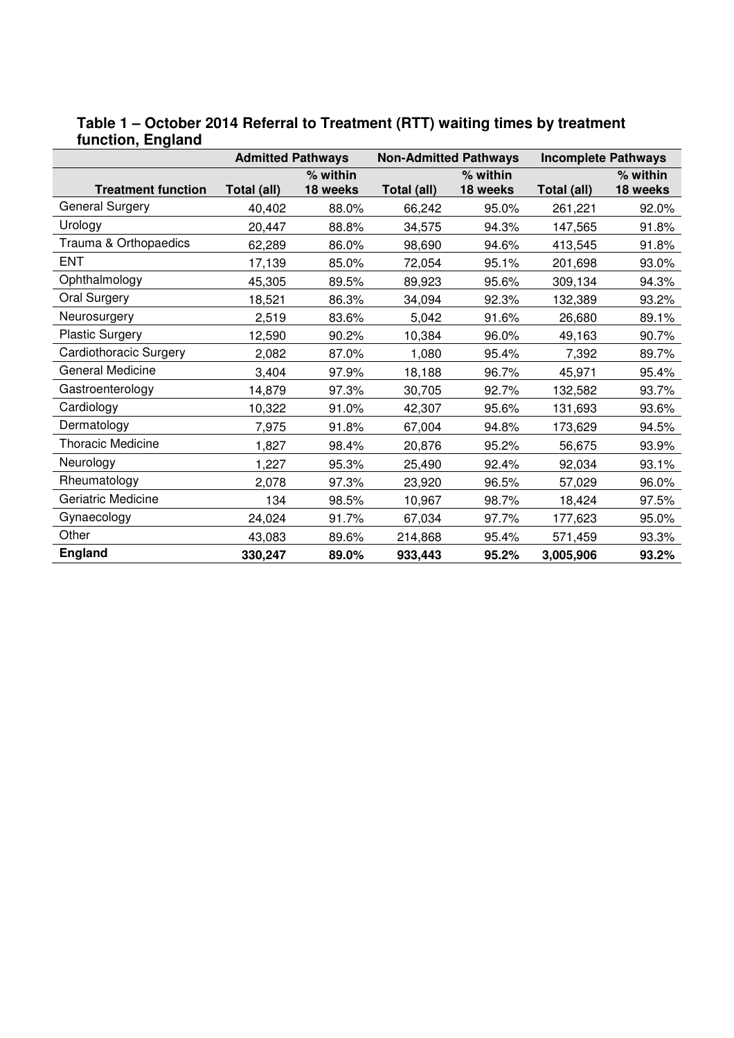|                           | <b>Admitted Pathways</b> |          | <b>Non-Admitted Pathways</b> |          | <b>Incomplete Pathways</b> |          |
|---------------------------|--------------------------|----------|------------------------------|----------|----------------------------|----------|
|                           |                          | % within |                              | % within |                            | % within |
| <b>Treatment function</b> | Total (all)              | 18 weeks | Total (all)                  | 18 weeks | Total (all)                | 18 weeks |
| General Surgery           | 40,402                   | 88.0%    | 66,242                       | 95.0%    | 261,221                    | 92.0%    |
| Urology                   | 20,447                   | 88.8%    | 34,575                       | 94.3%    | 147,565                    | 91.8%    |
| Trauma & Orthopaedics     | 62,289                   | 86.0%    | 98,690                       | 94.6%    | 413,545                    | 91.8%    |
| <b>ENT</b>                | 17,139                   | 85.0%    | 72,054                       | 95.1%    | 201,698                    | 93.0%    |
| Ophthalmology             | 45,305                   | 89.5%    | 89,923                       | 95.6%    | 309,134                    | 94.3%    |
| Oral Surgery              | 18,521                   | 86.3%    | 34,094                       | 92.3%    | 132,389                    | 93.2%    |
| Neurosurgery              | 2,519                    | 83.6%    | 5,042                        | 91.6%    | 26,680                     | 89.1%    |
| <b>Plastic Surgery</b>    | 12,590                   | 90.2%    | 10,384                       | 96.0%    | 49,163                     | 90.7%    |
| Cardiothoracic Surgery    | 2,082                    | 87.0%    | 1,080                        | 95.4%    | 7,392                      | 89.7%    |
| General Medicine          | 3,404                    | 97.9%    | 18,188                       | 96.7%    | 45,971                     | 95.4%    |
| Gastroenterology          | 14,879                   | 97.3%    | 30,705                       | 92.7%    | 132,582                    | 93.7%    |
| Cardiology                | 10,322                   | 91.0%    | 42,307                       | 95.6%    | 131,693                    | 93.6%    |
| Dermatology               | 7,975                    | 91.8%    | 67,004                       | 94.8%    | 173,629                    | 94.5%    |
| <b>Thoracic Medicine</b>  | 1,827                    | 98.4%    | 20,876                       | 95.2%    | 56,675                     | 93.9%    |
| Neurology                 | 1,227                    | 95.3%    | 25,490                       | 92.4%    | 92,034                     | 93.1%    |
| Rheumatology              | 2,078                    | 97.3%    | 23,920                       | 96.5%    | 57,029                     | 96.0%    |
| Geriatric Medicine        | 134                      | 98.5%    | 10,967                       | 98.7%    | 18,424                     | 97.5%    |
| Gynaecology               | 24,024                   | 91.7%    | 67,034                       | 97.7%    | 177,623                    | 95.0%    |
| Other                     | 43,083                   | 89.6%    | 214,868                      | 95.4%    | 571,459                    | 93.3%    |
| <b>England</b>            | 330,247                  | 89.0%    | 933,443                      | 95.2%    | 3,005,906                  | 93.2%    |

### **Table 1 – October 2014 Referral to Treatment (RTT) waiting times by treatment function, England**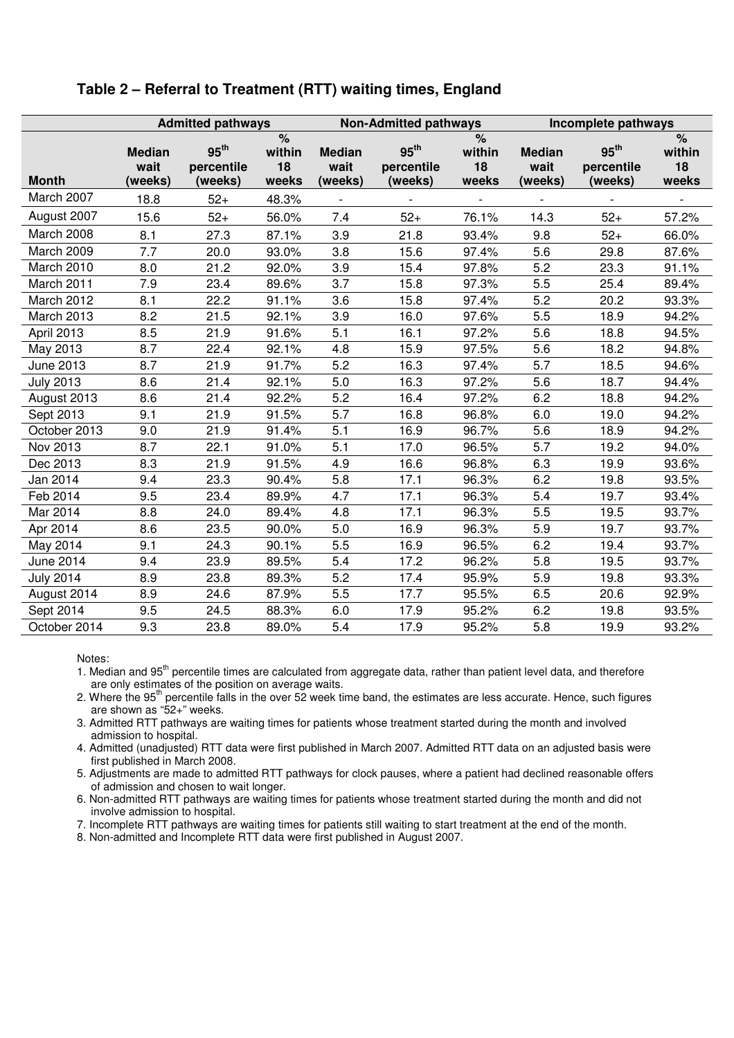|                  | <b>Admitted pathways</b>         |                                           | <b>Non-Admitted pathways</b>           |                                  |                                           | Incomplete pathways                           |                                  |                                           |                                               |
|------------------|----------------------------------|-------------------------------------------|----------------------------------------|----------------------------------|-------------------------------------------|-----------------------------------------------|----------------------------------|-------------------------------------------|-----------------------------------------------|
| <b>Month</b>     | <b>Median</b><br>wait<br>(weeks) | 95 <sup>th</sup><br>percentile<br>(weeks) | $\frac{9}{6}$<br>within<br>18<br>weeks | <b>Median</b><br>wait<br>(weeks) | 95 <sup>th</sup><br>percentile<br>(weeks) | $\frac{1}{\sqrt{2}}$<br>within<br>18<br>weeks | <b>Median</b><br>wait<br>(weeks) | 95 <sup>th</sup><br>percentile<br>(weeks) | $\frac{1}{\sqrt{2}}$<br>within<br>18<br>weeks |
| March 2007       | 18.8                             | $52+$                                     | 48.3%                                  |                                  |                                           |                                               |                                  |                                           |                                               |
| August 2007      | 15.6                             | $52+$                                     | 56.0%                                  | 7.4                              | $52+$                                     | 76.1%                                         | 14.3                             | $52+$                                     | 57.2%                                         |
| March 2008       | 8.1                              | 27.3                                      | 87.1%                                  | 3.9                              | 21.8                                      | 93.4%                                         | 9.8                              | $52+$                                     | 66.0%                                         |
| March 2009       | 7.7                              | 20.0                                      | 93.0%                                  | 3.8                              | 15.6                                      | 97.4%                                         | 5.6                              | 29.8                                      | 87.6%                                         |
| March 2010       | 8.0                              | 21.2                                      | 92.0%                                  | 3.9                              | 15.4                                      | 97.8%                                         | 5.2                              | 23.3                                      | 91.1%                                         |
| March 2011       | 7.9                              | 23.4                                      | 89.6%                                  | 3.7                              | 15.8                                      | 97.3%                                         | 5.5                              | 25.4                                      | 89.4%                                         |
| March 2012       | 8.1                              | 22.2                                      | 91.1%                                  | 3.6                              | 15.8                                      | 97.4%                                         | 5.2                              | 20.2                                      | 93.3%                                         |
| March 2013       | 8.2                              | 21.5                                      | 92.1%                                  | 3.9                              | 16.0                                      | 97.6%                                         | 5.5                              | 18.9                                      | 94.2%                                         |
| April 2013       | 8.5                              | 21.9                                      | 91.6%                                  | 5.1                              | 16.1                                      | 97.2%                                         | 5.6                              | 18.8                                      | 94.5%                                         |
| May 2013         | 8.7                              | 22.4                                      | 92.1%                                  | 4.8                              | 15.9                                      | 97.5%                                         | 5.6                              | 18.2                                      | 94.8%                                         |
| June 2013        | 8.7                              | 21.9                                      | 91.7%                                  | 5.2                              | 16.3                                      | 97.4%                                         | 5.7                              | 18.5                                      | 94.6%                                         |
| <b>July 2013</b> | 8.6                              | 21.4                                      | 92.1%                                  | 5.0                              | 16.3                                      | 97.2%                                         | 5.6                              | 18.7                                      | 94.4%                                         |
| August 2013      | 8.6                              | 21.4                                      | 92.2%                                  | 5.2                              | 16.4                                      | 97.2%                                         | 6.2                              | 18.8                                      | 94.2%                                         |
| Sept 2013        | 9.1                              | 21.9                                      | 91.5%                                  | 5.7                              | 16.8                                      | 96.8%                                         | 6.0                              | 19.0                                      | 94.2%                                         |
| October 2013     | 9.0                              | 21.9                                      | 91.4%                                  | 5.1                              | 16.9                                      | 96.7%                                         | 5.6                              | 18.9                                      | 94.2%                                         |
| Nov 2013         | 8.7                              | 22.1                                      | 91.0%                                  | 5.1                              | 17.0                                      | 96.5%                                         | 5.7                              | 19.2                                      | 94.0%                                         |
| Dec 2013         | 8.3                              | 21.9                                      | 91.5%                                  | 4.9                              | 16.6                                      | 96.8%                                         | 6.3                              | 19.9                                      | 93.6%                                         |
| Jan 2014         | 9.4                              | 23.3                                      | 90.4%                                  | 5.8                              | 17.1                                      | 96.3%                                         | 6.2                              | 19.8                                      | 93.5%                                         |
| Feb 2014         | 9.5                              | 23.4                                      | 89.9%                                  | 4.7                              | 17.1                                      | 96.3%                                         | 5.4                              | 19.7                                      | 93.4%                                         |
| Mar 2014         | 8.8                              | 24.0                                      | 89.4%                                  | 4.8                              | 17.1                                      | 96.3%                                         | 5.5                              | 19.5                                      | 93.7%                                         |
| Apr 2014         | 8.6                              | 23.5                                      | 90.0%                                  | 5.0                              | 16.9                                      | 96.3%                                         | 5.9                              | 19.7                                      | 93.7%                                         |
| May 2014         | 9.1                              | 24.3                                      | 90.1%                                  | 5.5                              | 16.9                                      | 96.5%                                         | 6.2                              | 19.4                                      | 93.7%                                         |
| June 2014        | 9.4                              | 23.9                                      | 89.5%                                  | 5.4                              | 17.2                                      | 96.2%                                         | 5.8                              | 19.5                                      | 93.7%                                         |
| <b>July 2014</b> | 8.9                              | 23.8                                      | 89.3%                                  | 5.2                              | 17.4                                      | 95.9%                                         | 5.9                              | 19.8                                      | 93.3%                                         |
| August 2014      | 8.9                              | 24.6                                      | 87.9%                                  | 5.5                              | 17.7                                      | 95.5%                                         | 6.5                              | 20.6                                      | 92.9%                                         |
| Sept 2014        | 9.5                              | 24.5                                      | 88.3%                                  | 6.0                              | 17.9                                      | 95.2%                                         | 6.2                              | 19.8                                      | 93.5%                                         |
| October 2014     | 9.3                              | 23.8                                      | 89.0%                                  | 5.4                              | 17.9                                      | 95.2%                                         | 5.8                              | 19.9                                      | 93.2%                                         |

#### **Table 2 – Referral to Treatment (RTT) waiting times, England**

Notes:

- 2. Where the 95<sup>th</sup> percentile falls in the over 52 week time band, the estimates are less accurate. Hence, such figures are shown as "52+" weeks.
- 3. Admitted RTT pathways are waiting times for patients whose treatment started during the month and involved admission to hospital.
- 4. Admitted (unadjusted) RTT data were first published in March 2007. Admitted RTT data on an adjusted basis were first published in March 2008.
- 5. Adjustments are made to admitted RTT pathways for clock pauses, where a patient had declined reasonable offers of admission and chosen to wait longer.
- 6. Non-admitted RTT pathways are waiting times for patients whose treatment started during the month and did not involve admission to hospital.
- 7. Incomplete RTT pathways are waiting times for patients still waiting to start treatment at the end of the month.
- 8. Non-admitted and Incomplete RTT data were first published in August 2007.

<sup>1.</sup> Median and 95<sup>th</sup> percentile times are calculated from aggregate data, rather than patient level data, and therefore are only estimates of the position on average waits.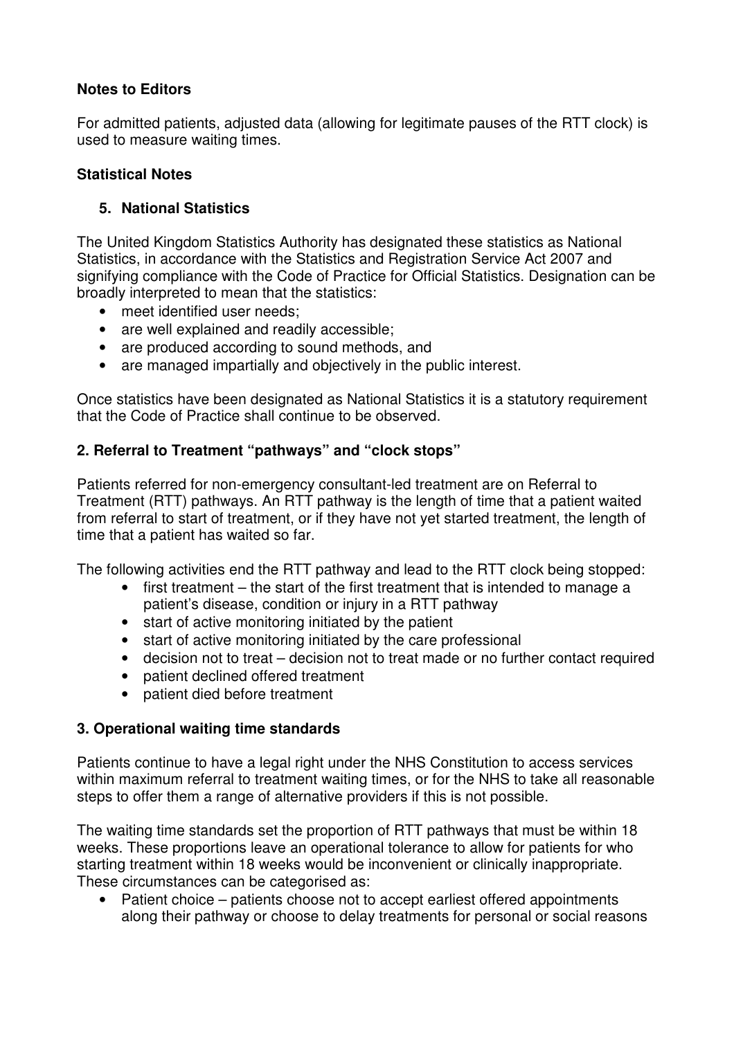## **Notes to Editors**

For admitted patients, adjusted data (allowing for legitimate pauses of the RTT clock) is used to measure waiting times.

## **Statistical Notes**

# **5. National Statistics**

The United Kingdom Statistics Authority has designated these statistics as National Statistics, in accordance with the Statistics and Registration Service Act 2007 and signifying compliance with the Code of Practice for Official Statistics. Designation can be broadly interpreted to mean that the statistics:

- meet identified user needs:
- are well explained and readily accessible;
- are produced according to sound methods, and
- are managed impartially and objectively in the public interest.

Once statistics have been designated as National Statistics it is a statutory requirement that the Code of Practice shall continue to be observed.

# **2. Referral to Treatment "pathways" and "clock stops"**

Patients referred for non-emergency consultant-led treatment are on Referral to Treatment (RTT) pathways. An RTT pathway is the length of time that a patient waited from referral to start of treatment, or if they have not yet started treatment, the length of time that a patient has waited so far.

The following activities end the RTT pathway and lead to the RTT clock being stopped:

- first treatment the start of the first treatment that is intended to manage a patient's disease, condition or injury in a RTT pathway
- start of active monitoring initiated by the patient
- start of active monitoring initiated by the care professional
- decision not to treat decision not to treat made or no further contact required
- patient declined offered treatment
- patient died before treatment

### **3. Operational waiting time standards**

Patients continue to have a legal right under the NHS Constitution to access services within maximum referral to treatment waiting times, or for the NHS to take all reasonable steps to offer them a range of alternative providers if this is not possible.

The waiting time standards set the proportion of RTT pathways that must be within 18 weeks. These proportions leave an operational tolerance to allow for patients for who starting treatment within 18 weeks would be inconvenient or clinically inappropriate. These circumstances can be categorised as:

• Patient choice – patients choose not to accept earliest offered appointments along their pathway or choose to delay treatments for personal or social reasons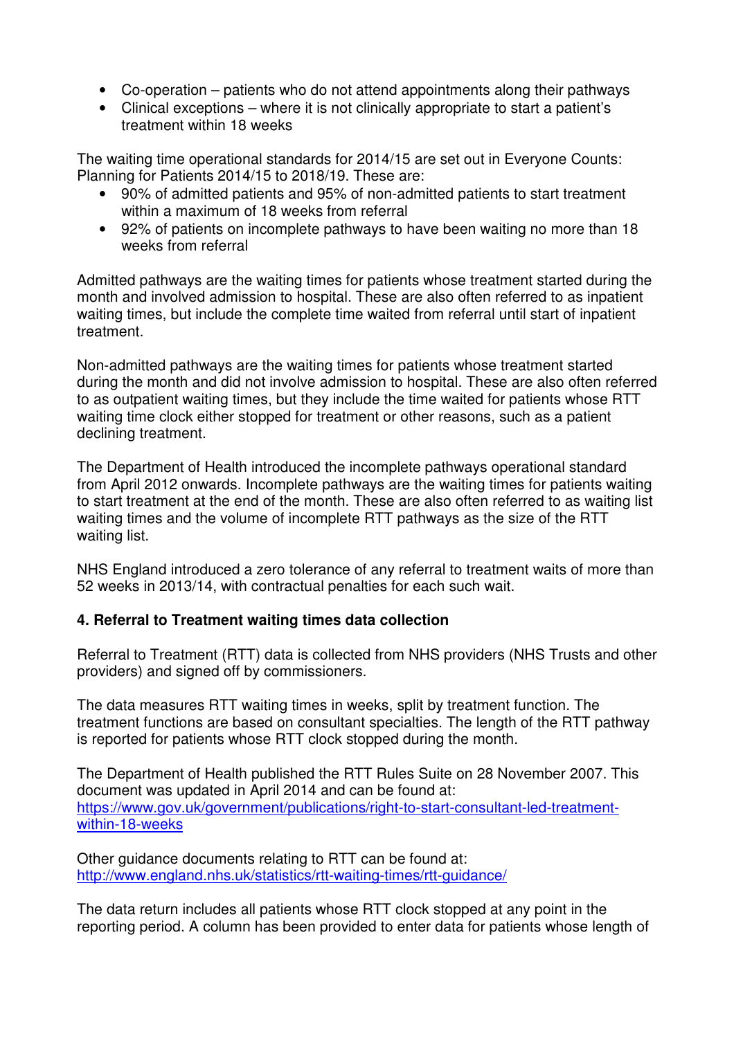- Co-operation patients who do not attend appointments along their pathways
- Clinical exceptions where it is not clinically appropriate to start a patient's treatment within 18 weeks

The waiting time operational standards for 2014/15 are set out in Everyone Counts: Planning for Patients 2014/15 to 2018/19. These are:

- 90% of admitted patients and 95% of non-admitted patients to start treatment within a maximum of 18 weeks from referral
- 92% of patients on incomplete pathways to have been waiting no more than 18 weeks from referral

Admitted pathways are the waiting times for patients whose treatment started during the month and involved admission to hospital. These are also often referred to as inpatient waiting times, but include the complete time waited from referral until start of inpatient treatment.

Non-admitted pathways are the waiting times for patients whose treatment started during the month and did not involve admission to hospital. These are also often referred to as outpatient waiting times, but they include the time waited for patients whose RTT waiting time clock either stopped for treatment or other reasons, such as a patient declining treatment.

The Department of Health introduced the incomplete pathways operational standard from April 2012 onwards. Incomplete pathways are the waiting times for patients waiting to start treatment at the end of the month. These are also often referred to as waiting list waiting times and the volume of incomplete RTT pathways as the size of the RTT waiting list.

NHS England introduced a zero tolerance of any referral to treatment waits of more than 52 weeks in 2013/14, with contractual penalties for each such wait.

### **4. Referral to Treatment waiting times data collection**

Referral to Treatment (RTT) data is collected from NHS providers (NHS Trusts and other providers) and signed off by commissioners.

The data measures RTT waiting times in weeks, split by treatment function. The treatment functions are based on consultant specialties. The length of the RTT pathway is reported for patients whose RTT clock stopped during the month.

The Department of Health published the RTT Rules Suite on 28 November 2007. This document was updated in April 2014 and can be found at: https://www.gov.uk/government/publications/right-to-start-consultant-led-treatmentwithin-18-weeks

Other guidance documents relating to RTT can be found at: http://www.england.nhs.uk/statistics/rtt-waiting-times/rtt-guidance/

The data return includes all patients whose RTT clock stopped at any point in the reporting period. A column has been provided to enter data for patients whose length of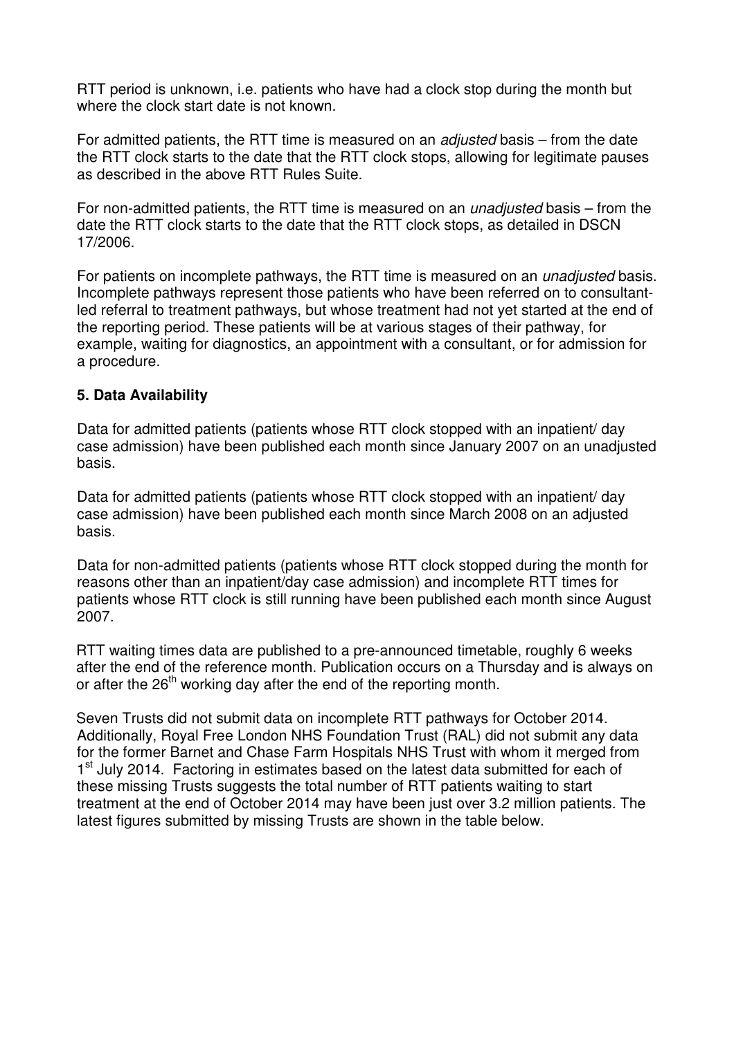RTT period is unknown, i.e. patients who have had a clock stop during the month but where the clock start date is not known.

For admitted patients, the RTT time is measured on an adjusted basis – from the date the RTT clock starts to the date that the RTT clock stops, allowing for legitimate pauses as described in the above RTT Rules Suite.

For non-admitted patients, the RTT time is measured on an *unadjusted* basis – from the date the RTT clock starts to the date that the RTT clock stops, as detailed in DSCN 17/2006.

For patients on incomplete pathways, the RTT time is measured on an *unadjusted* basis. Incomplete pathways represent those patients who have been referred on to consultantled referral to treatment pathways, but whose treatment had not yet started at the end of the reporting period. These patients will be at various stages of their pathway, for example, waiting for diagnostics, an appointment with a consultant, or for admission for a procedure.

### **5. Data Availability**

Data for admitted patients (patients whose RTT clock stopped with an inpatient/ day case admission) have been published each month since January 2007 on an unadjusted basis.

Data for admitted patients (patients whose RTT clock stopped with an inpatient/ day case admission) have been published each month since March 2008 on an adjusted basis.

Data for non-admitted patients (patients whose RTT clock stopped during the month for reasons other than an inpatient/day case admission) and incomplete RTT times for patients whose RTT clock is still running have been published each month since August 2007.

RTT waiting times data are published to a pre-announced timetable, roughly 6 weeks after the end of the reference month. Publication occurs on a Thursday and is always on or after the  $26<sup>th</sup>$  working day after the end of the reporting month.

Seven Trusts did not submit data on incomplete RTT pathways for October 2014. Additionally, Royal Free London NHS Foundation Trust (RAL) did not submit any data for the former Barnet and Chase Farm Hospitals NHS Trust with whom it merged from 1<sup>st</sup> July 2014. Factoring in estimates based on the latest data submitted for each of these missing Trusts suggests the total number of RTT patients waiting to start treatment at the end of October 2014 may have been just over 3.2 million patients. The latest figures submitted by missing Trusts are shown in the table below.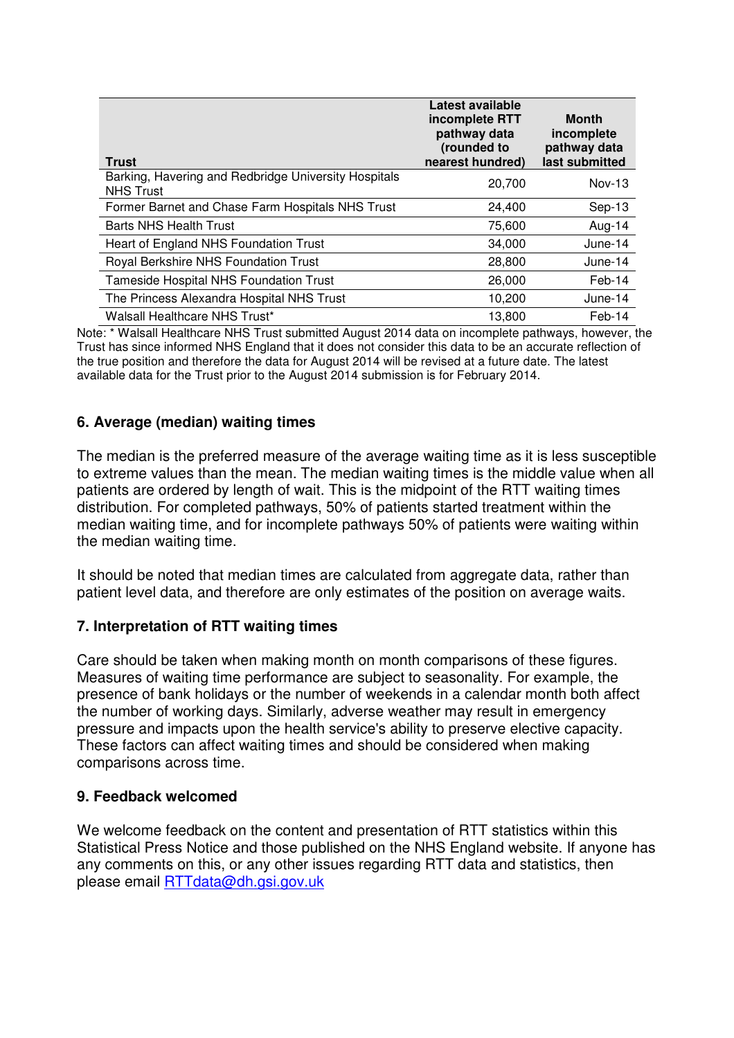| <b>Trust</b>                                                             | Latest available<br>incomplete RTT<br>pathway data<br>(rounded to<br>nearest hundred) | <b>Month</b><br>incomplete<br>pathway data<br>last submitted |
|--------------------------------------------------------------------------|---------------------------------------------------------------------------------------|--------------------------------------------------------------|
| Barking, Havering and Redbridge University Hospitals<br><b>NHS Trust</b> | 20,700                                                                                | $Nov-13$                                                     |
| Former Barnet and Chase Farm Hospitals NHS Trust                         | 24,400                                                                                | $Sep-13$                                                     |
| <b>Barts NHS Health Trust</b>                                            | 75,600                                                                                | Aug-14                                                       |
| Heart of England NHS Foundation Trust                                    | 34,000                                                                                | June-14                                                      |
| Royal Berkshire NHS Foundation Trust                                     | 28,800                                                                                | June-14                                                      |
| Tameside Hospital NHS Foundation Trust                                   | 26,000                                                                                | Feb-14                                                       |
| The Princess Alexandra Hospital NHS Trust                                | 10,200                                                                                | June-14                                                      |
| Walsall Healthcare NHS Trust*                                            | 13,800                                                                                | Feb-14                                                       |

Note: \* Walsall Healthcare NHS Trust submitted August 2014 data on incomplete pathways, however, the Trust has since informed NHS England that it does not consider this data to be an accurate reflection of the true position and therefore the data for August 2014 will be revised at a future date. The latest available data for the Trust prior to the August 2014 submission is for February 2014.

### **6. Average (median) waiting times**

The median is the preferred measure of the average waiting time as it is less susceptible to extreme values than the mean. The median waiting times is the middle value when all patients are ordered by length of wait. This is the midpoint of the RTT waiting times distribution. For completed pathways, 50% of patients started treatment within the median waiting time, and for incomplete pathways 50% of patients were waiting within the median waiting time.

It should be noted that median times are calculated from aggregate data, rather than patient level data, and therefore are only estimates of the position on average waits.

### **7. Interpretation of RTT waiting times**

Care should be taken when making month on month comparisons of these figures. Measures of waiting time performance are subject to seasonality. For example, the presence of bank holidays or the number of weekends in a calendar month both affect the number of working days. Similarly, adverse weather may result in emergency pressure and impacts upon the health service's ability to preserve elective capacity. These factors can affect waiting times and should be considered when making comparisons across time.

### **9. Feedback welcomed**

We welcome feedback on the content and presentation of RTT statistics within this Statistical Press Notice and those published on the NHS England website. If anyone has any comments on this, or any other issues regarding RTT data and statistics, then please email RTTdata@dh.gsi.gov.uk